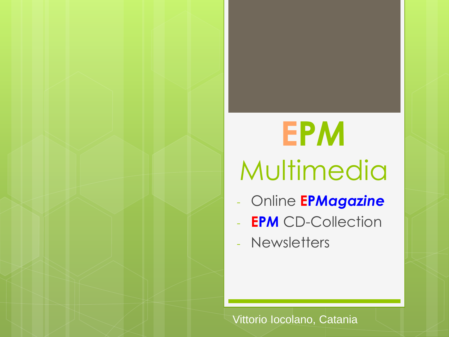# **EP***M* Multimedia

- Online **EP***Magazine*
- **EPM** CD-Collection
- Newsletters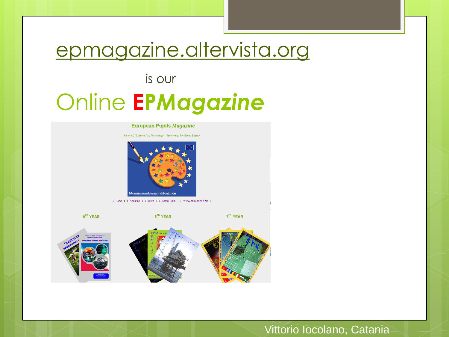### epmagazine.altervista.org

### is our Online **EP***Magazine*

#### **European Pupils Magazine**

History Of Science And Technology -- Technology For Green Energy



[ Home ]-[ About us ]-[ News ]-[ Useful Links ]-[ www.epmagazine.org ]

9<sup>th</sup> YEAR 8<sup>th</sup> YEAR 7<sup>th</sup> YEAR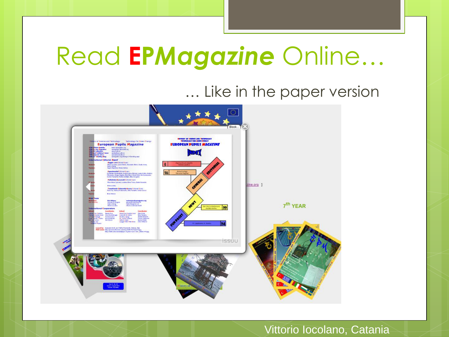# Read **EP***Magazine* Online…

### … Like in the paper version

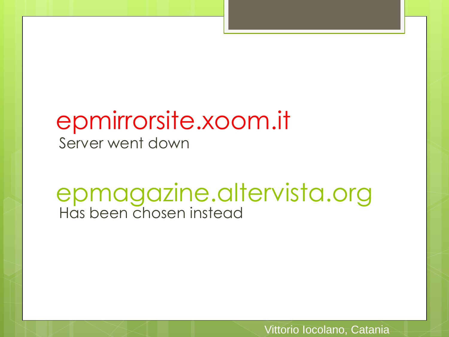### epmirrorsite.xoom.it Server went down

### epmagazine.altervista.org Has been chosen instead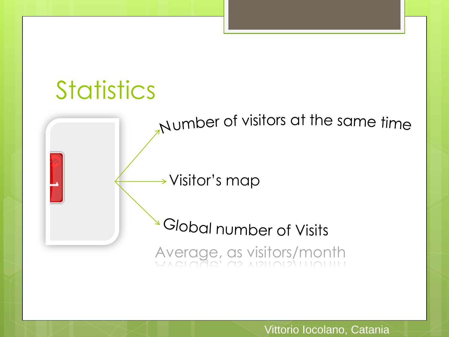



Visitor's map

<sup>a</sup> Global number of Visits Average, as visitors/month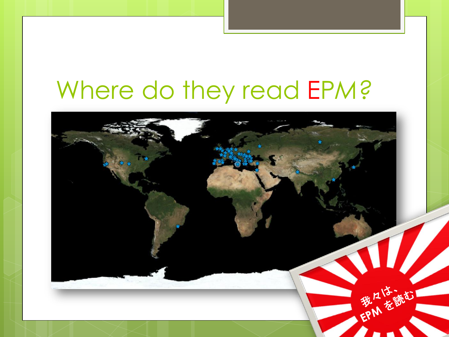# Where do they read EP*M?*

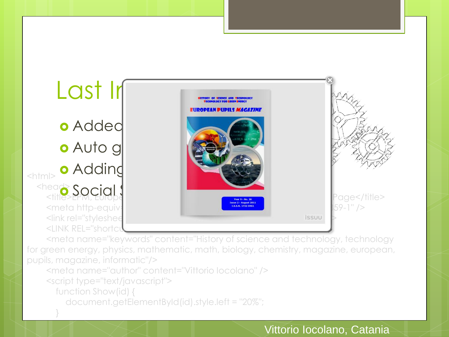Last In EIINANEAN NIINII C*WAAA TIN* **o** Added **o** Auto g **o** Addind  $|\text{thm}|$  <head> <head>Social Share Magazine | On-Line Magazine | Page</title> <meta http-equiv="content-type" content-type" content-type" content-type" content-type" (>  $\le$ link rel="stylesheet" hreft hreft hreft hreft hreft hreft hreft hreft hreft hreft hreft hreft hreft hreft hreft hreft hreft hreft hreft hreft hreft hreft hreft hreft hreft hreft hreft hreft hreft hreft hreft hreft href <LINK REL="shortc

 <meta name="keywords" content="History of science and technology, technology for green energy, physics, mathematic, math, biology, chemistry, magazine, european, pupils, magazine, informatic"/>

<meta name="author" content="Vittorio Iocolano" />

<script type="text/javascript">

function Show(id) {

}

document.getElementById(id).style.left = "20%";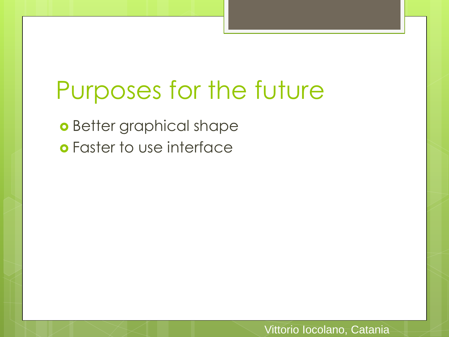### Purposes for the future

**o** Better graphical shape Faster to use interface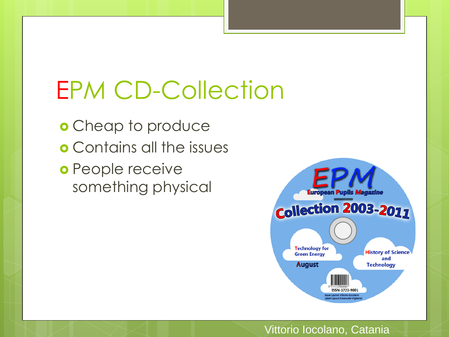# EP*M* CD-Collection

o Cheap to produce Contains all the issues o People receive something physical

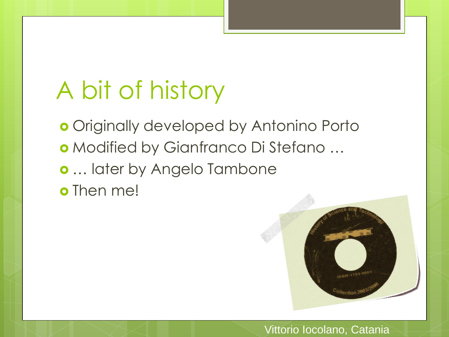# A bit of history

**o** Originally developed by Antonino Porto Modified by Gianfranco Di Stefano … … later by Angelo Tambone o Then me!

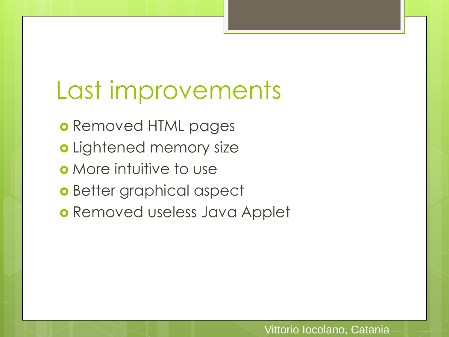### Last improvements

o Removed HTML pages o Lightened memory size **o** More intuitive to use o Better graphical aspect o Removed useless Java Applet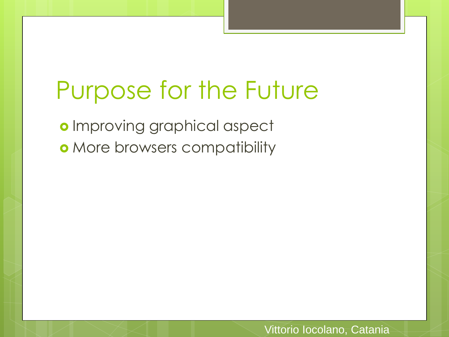### Purpose for the Future

o Improving graphical aspect **o** More browsers compatibility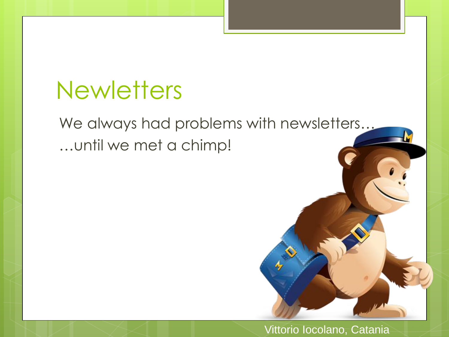### **Newletters**

### We always had problems with newsletters… …until we met a chimp!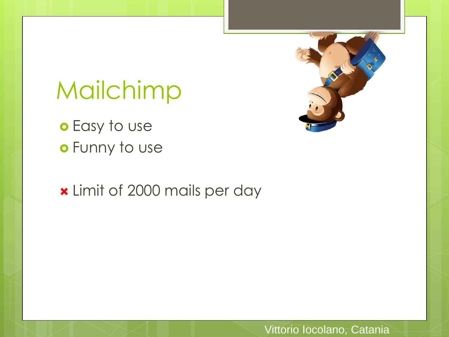# Mailchimp

o Easy to use Funny to use

Limit of 2000 mails per day

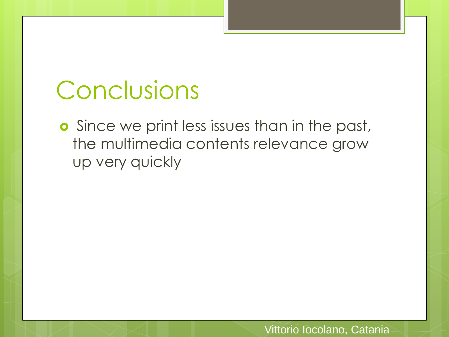# Conclusions

**o** Since we print less issues than in the past, the multimedia contents relevance grow up very quickly